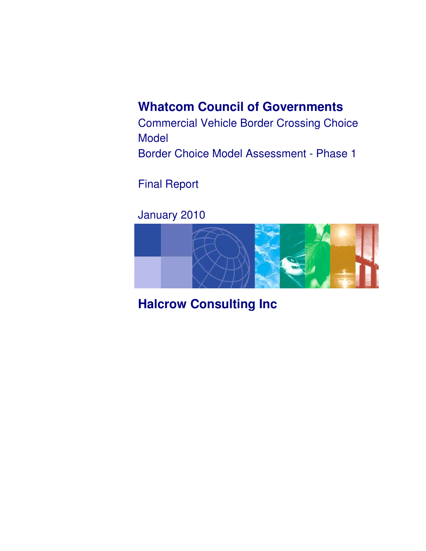# **Whatcom Council of Governments**

Commercial Vehicle Border Crossing Choice **Model** Border Choice Model Assessment - Phase 1

Final Report

January 2010



**Halcrow Consulting Inc**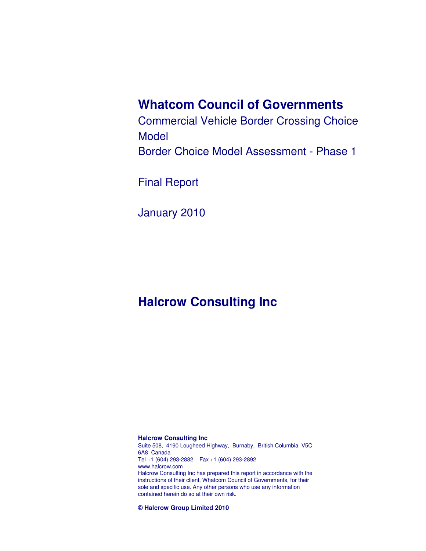## **Whatcom Council of Governments**

Commercial Vehicle Border Crossing Choice Model Border Choice Model Assessment - Phase 1

Final Report

January 2010

# **Halcrow Consulting Inc**

**Halcrow Consulting Inc**  Suite 508, 4190 Lougheed Highway, Burnaby, British Columbia V5C 6A8 Canada Tel +1 (604) 293-2882 Fax +1 (604) 293-2892 www.halcrow.com Halcrow Consulting Inc has prepared this report in accordance with the instructions of their client, Whatcom Council of Governments, for their sole and specific use. Any other persons who use any information contained herein do so at their own risk.

**© Halcrow Group Limited 2010**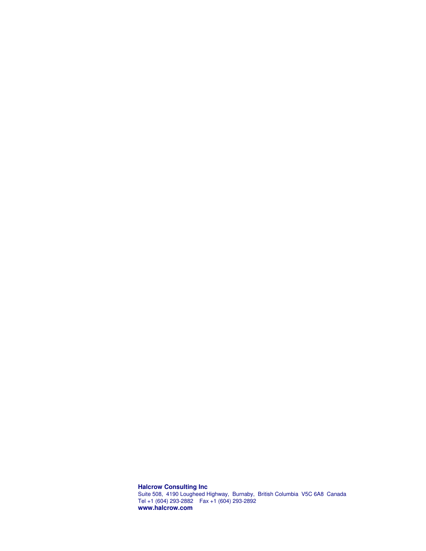**Halcrow Consulting Inc**  Suite 508, 4190 Lougheed Highway, Burnaby, British Columbia V5C 6A8 Canada Tel +1 (604) 293-2882 Fax +1 (604) 293-2892 **www.halcrow.com**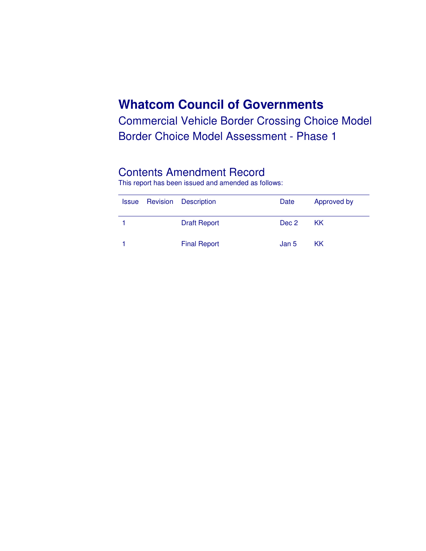# **Whatcom Council of Governments**

Commercial Vehicle Border Crossing Choice Model Border Choice Model Assessment - Phase 1

## Contents Amendment Record

This report has been issued and amended as follows:

|  | <b>Issue Revision Description</b> | Date  | Approved by |
|--|-----------------------------------|-------|-------------|
|  | <b>Draft Report</b>               | Dec 2 | <b>KK</b>   |
|  | <b>Final Report</b>               | Jan 5 | KK          |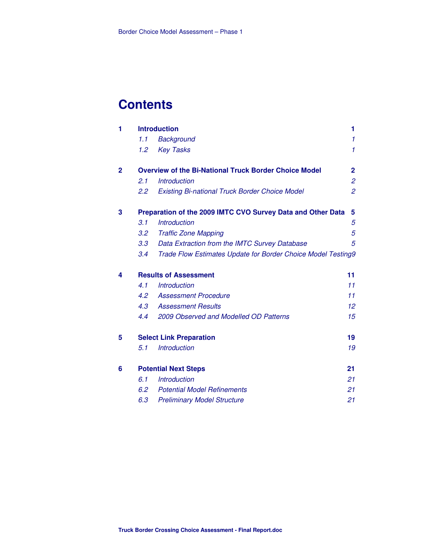# **Contents**

| 1              |                  | <b>Introduction</b>                                          | 1              |
|----------------|------------------|--------------------------------------------------------------|----------------|
|                | 1.1              | <b>Background</b>                                            | 1              |
|                | 1.2              | <b>Key Tasks</b>                                             | $\mathcal I$   |
| $\overline{2}$ |                  | <b>Overview of the Bi-National Truck Border Choice Model</b> | $\overline{2}$ |
|                | 2.1              | <b>Introduction</b>                                          | $\overline{2}$ |
|                | $2.2^{\circ}$    | <b>Existing Bi-national Truck Border Choice Model</b>        | $\overline{2}$ |
| 3              |                  | Preparation of the 2009 IMTC CVO Survey Data and Other Data  | 5              |
|                | 3.1              | <b>Introduction</b>                                          | 5              |
|                | 3.2 <sub>2</sub> | <b>Traffic Zone Mapping</b>                                  | 5              |
|                | 3.3              | Data Extraction from the IMTC Survey Database                | 5              |
|                | 3.4              | Trade Flow Estimates Update for Border Choice Model Testing9 |                |
| 4              |                  | <b>Results of Assessment</b>                                 | 11             |
|                | 4.1              | <b>Introduction</b>                                          | 11             |
|                | 4.2              | <b>Assessment Procedure</b>                                  | 11             |
|                |                  | 4.3 Assessment Results                                       | 12             |
|                | 4.4              | 2009 Observed and Modelled OD Patterns                       | 15             |
| 5              |                  | <b>Select Link Preparation</b>                               | 19             |
|                | 5.1              | <b>Introduction</b>                                          | 19             |
| 6              |                  | <b>Potential Next Steps</b>                                  | 21             |
|                | 6.1              | <b>Introduction</b>                                          | 21             |
|                | 6.2              | <b>Potential Model Refinements</b>                           | 21             |
|                | 6.3              | <b>Preliminary Model Structure</b>                           | 21             |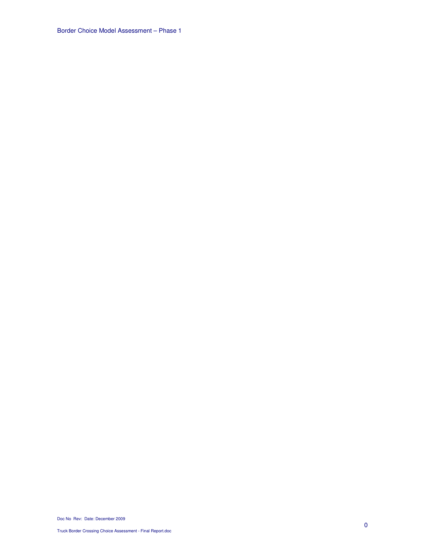Border Choice Model Assessment – Phase 1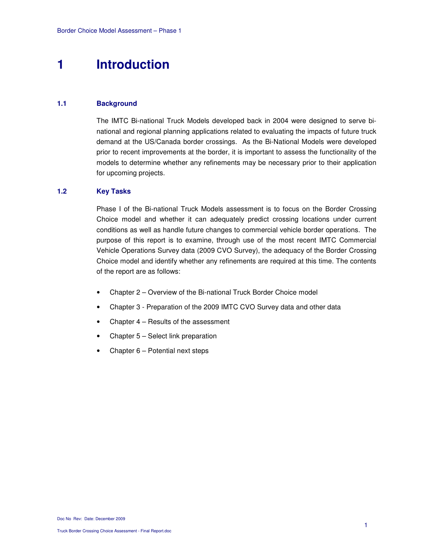# **1 Introduction**

#### **1.1 Background**

The IMTC Bi-national Truck Models developed back in 2004 were designed to serve binational and regional planning applications related to evaluating the impacts of future truck demand at the US/Canada border crossings. As the Bi-National Models were developed prior to recent improvements at the border, it is important to assess the functionality of the models to determine whether any refinements may be necessary prior to their application for upcoming projects.

#### **1.2 Key Tasks**

Phase I of the Bi-national Truck Models assessment is to focus on the Border Crossing Choice model and whether it can adequately predict crossing locations under current conditions as well as handle future changes to commercial vehicle border operations. The purpose of this report is to examine, through use of the most recent IMTC Commercial Vehicle Operations Survey data (2009 CVO Survey), the adequacy of the Border Crossing Choice model and identify whether any refinements are required at this time. The contents of the report are as follows:

- Chapter 2 Overview of the Bi-national Truck Border Choice model
- Chapter 3 Preparation of the 2009 IMTC CVO Survey data and other data
- Chapter 4 Results of the assessment
- Chapter 5 Select link preparation
- Chapter  $6$  Potential next steps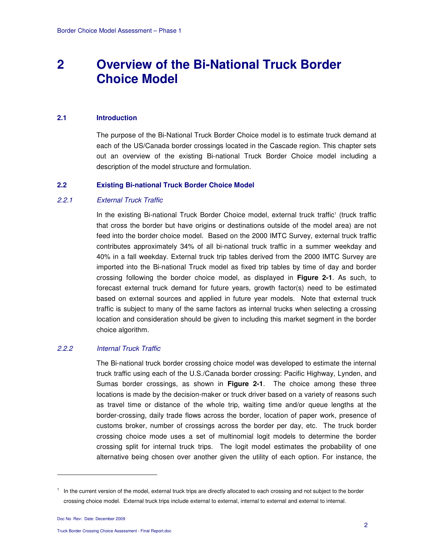## **2 Overview of the Bi-National Truck Border Choice Model**

#### **2.1 Introduction**

The purpose of the Bi-National Truck Border Choice model is to estimate truck demand at each of the US/Canada border crossings located in the Cascade region. This chapter sets out an overview of the existing Bi-national Truck Border Choice model including a description of the model structure and formulation.

#### **2.2 Existing Bi-national Truck Border Choice Model**

#### 2.2.1 External Truck Traffic

In the existing Bi-national Truck Border Choice model, external truck traffic<sup>1</sup> (truck traffic that cross the border but have origins or destinations outside of the model area) are not feed into the border choice model. Based on the 2000 IMTC Survey, external truck traffic contributes approximately 34% of all bi-national truck traffic in a summer weekday and 40% in a fall weekday. External truck trip tables derived from the 2000 IMTC Survey are imported into the Bi-national Truck model as fixed trip tables by time of day and border crossing following the border choice model, as displayed in **Figure 2-1**. As such, to forecast external truck demand for future years, growth factor(s) need to be estimated based on external sources and applied in future year models. Note that external truck traffic is subject to many of the same factors as internal trucks when selecting a crossing location and consideration should be given to including this market segment in the border choice algorithm.

### 2.2.2 Internal Truck Traffic

The Bi-national truck border crossing choice model was developed to estimate the internal truck traffic using each of the U.S./Canada border crossing: Pacific Highway, Lynden, and Sumas border crossings, as shown in **Figure 2-1**. The choice among these three locations is made by the decision-maker or truck driver based on a variety of reasons such as travel time or distance of the whole trip, waiting time and/or queue lengths at the border-crossing, daily trade flows across the border, location of paper work, presence of customs broker, number of crossings across the border per day, etc. The truck border crossing choice mode uses a set of multinomial logit models to determine the border crossing split for internal truck trips. The logit model estimates the probability of one alternative being chosen over another given the utility of each option. For instance, the

l

<sup>&</sup>lt;sup>1</sup> In the current version of the model, external truck trips are directly allocated to each crossing and not subject to the border crossing choice model. External truck trips include external to external, internal to external and external to internal.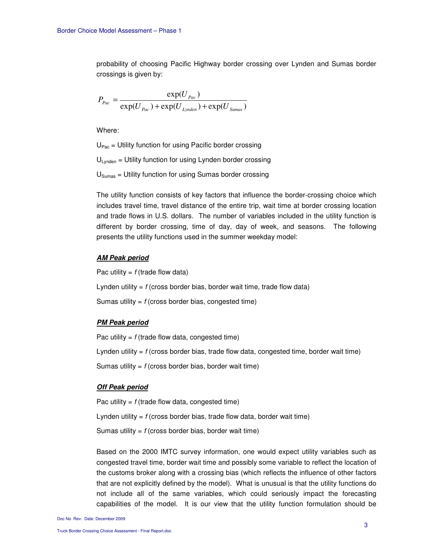probability of choosing Pacific Highway border crossing over Lynden and Sumas border crossings is given by:

$$
P_{p_{ac}} = \frac{\exp(U_{p_{ac}})}{\exp(U_{p_{ac}}) + \exp(U_{Lynden}) + \exp(U_{sums}
$$

Where:

 $U_{Pac}$  = Utility function for using Pacific border crossing

 $U_{Lvnden}$  = Utility function for using Lynden border crossing

 $U_{\text{Sumas}} =$  Utility function for using Sumas border crossing

The utility function consists of key factors that influence the border-crossing choice which includes travel time, travel distance of the entire trip, wait time at border crossing location and trade flows in U.S. dollars. The number of variables included in the utility function is different by border crossing, time of day, day of week, and seasons. The following presents the utility functions used in the summer weekday model:

#### **AM Peak period**

Pac utility =  $f$  (trade flow data)

Lynden utility =  $f$  (cross border bias, border wait time, trade flow data)

Sumas utility =  $f$  (cross border bias, congested time)

#### **PM Peak period**

Pac utility =  $f$  (trade flow data, congested time)

Lynden utility =  $f$  (cross border bias, trade flow data, congested time, border wait time)

Sumas utility =  $f$  (cross border bias, border wait time)

#### **Off Peak period**

Pac utility =  $f$  (trade flow data, congested time)

Lynden utility =  $f$  (cross border bias, trade flow data, border wait time)

Sumas utility =  $f$  (cross border bias, border wait time)

Based on the 2000 IMTC survey information, one would expect utility variables such as congested travel time, border wait time and possibly some variable to reflect the location of the customs broker along with a crossing bias (which reflects the influence of other factors that are not explicitly defined by the model). What is unusual is that the utility functions do not include all of the same variables, which could seriously impact the forecasting capabilities of the model. It is our view that the utility function formulation should be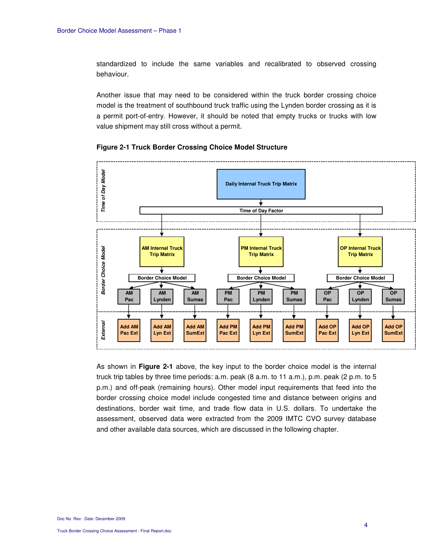standardized to include the same variables and recalibrated to observed crossing behaviour.

Another issue that may need to be considered within the truck border crossing choice model is the treatment of southbound truck traffic using the Lynden border crossing as it is a permit port-of-entry. However, it should be noted that empty trucks or trucks with low value shipment may still cross without a permit.

**Figure 2-1 Truck Border Crossing Choice Model Structure** 



As shown in **Figure 2-1** above, the key input to the border choice model is the internal truck trip tables by three time periods: a.m. peak (8 a.m. to 11 a.m.), p.m. peak (2 p.m. to 5 p.m.) and off-peak (remaining hours). Other model input requirements that feed into the border crossing choice model include congested time and distance between origins and destinations, border wait time, and trade flow data in U.S. dollars. To undertake the assessment, observed data were extracted from the 2009 IMTC CVO survey database and other available data sources, which are discussed in the following chapter.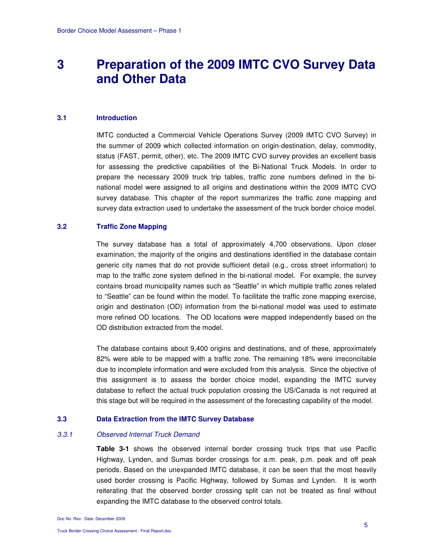## **3 Preparation of the 2009 IMTC CVO Survey Data and Other Data**

#### **3.1 Introduction**

IMTC conducted a Commercial Vehicle Operations Survey (2009 IMTC CVO Survey) in the summer of 2009 which collected information on origin-destination, delay, commodity, status (FAST, permit, other), etc. The 2009 IMTC CVO survey provides an excellent basis for assessing the predictive capabilities of the Bi-National Truck Models. In order to prepare the necessary 2009 truck trip tables, traffic zone numbers defined in the binational model were assigned to all origins and destinations within the 2009 IMTC CVO survey database. This chapter of the report summarizes the traffic zone mapping and survey data extraction used to undertake the assessment of the truck border choice model.

#### **3.2 Traffic Zone Mapping**

The survey database has a total of approximately 4,700 observations. Upon closer examination, the majority of the origins and destinations identified in the database contain generic city names that do not provide sufficient detail (e.g., cross street information) to map to the traffic zone system defined in the bi-national model. For example, the survey contains broad municipality names such as "Seattle" in which multiple traffic zones related to "Seattle" can be found within the model. To facilitate the traffic zone mapping exercise, origin and destination (OD) information from the bi-national model was used to estimate more refined OD locations. The OD locations were mapped independently based on the OD distribution extracted from the model.

The database contains about 9,400 origins and destinations, and of these, approximately 82% were able to be mapped with a traffic zone. The remaining 18% were irreconcilable due to incomplete information and were excluded from this analysis. Since the objective of this assignment is to assess the border choice model, expanding the IMTC survey database to reflect the actual truck population crossing the US/Canada is not required at this stage but will be required in the assessment of the forecasting capability of the model.

#### **3.3 Data Extraction from the IMTC Survey Database**

#### 3.3.1 Observed Internal Truck Demand

**Table 3-1** shows the observed internal border crossing truck trips that use Pacific Highway, Lynden, and Sumas border crossings for a.m. peak, p.m. peak and off peak periods. Based on the unexpanded IMTC database, it can be seen that the most heavily used border crossing is Pacific Highway, followed by Sumas and Lynden. It is worth reiterating that the observed border crossing split can not be treated as final without expanding the IMTC database to the observed control totals.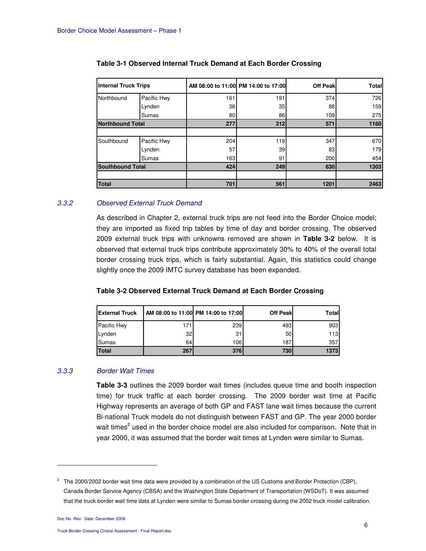| <b>Internal Truck Trips</b> |             |     | AM 08:00 to 11:00 PM 14:00 to 17:00 | <b>Off Peakl</b> | <b>Total</b> |
|-----------------------------|-------------|-----|-------------------------------------|------------------|--------------|
| Northbound                  | Pacific Hwy | 161 | 191                                 | 374              | 726          |
|                             | Lynden      | 36  | 35                                  | 88               | 159          |
|                             | Sumas       | 80  | 86                                  | 109              | 275          |
| <b>Northbound Total</b>     |             | 277 | 312                                 | 571              | 1160         |
|                             |             |     |                                     |                  |              |
| Southbound                  | Pacific Hwy | 204 | 119                                 | 347              | 670          |
|                             | Lynden      | 57  | 39                                  | 83               | 179          |
|                             | Sumas       | 163 | 91                                  | 200              | 454          |
| <b>Southbound Total</b>     |             | 424 | 249                                 | 630              | 1303         |
|                             |             |     |                                     |                  |              |
| <b>Total</b>                |             | 701 | 561                                 | 1201             | 2463         |

#### **Table 3-1 Observed Internal Truck Demand at Each Border Crossing**

### 3.3.2 Observed External Truck Demand

As described in Chapter 2, external truck trips are not feed into the Border Choice model; they are imported as fixed trip tables by time of day and border crossing. The observed 2009 external truck trips with unknowns removed are shown in **Table 3-2** below. It is observed that external truck trips contribute approximately 30% to 40% of the overall total border crossing truck trips, which is fairly substantial. Again, this statistics could change slightly once the 2009 IMTC survey database has been expanded.

| <b>External Truck</b> |     | AM 08:00 to 11:00 PM 14:00 to 17:00 | <b>Off Peak</b> | Total            |
|-----------------------|-----|-------------------------------------|-----------------|------------------|
| Pacific Hwy           | 171 | <b>239</b>                          | 493             | 903 <sub>l</sub> |
| Lynden                | 32  | 31                                  | 50              | 113I             |
| Sumas                 | 64  | 106                                 | 187             | 357              |
| <b>Total</b>          | 267 | 376I                                | 730             | 1373             |

#### 3.3.3 Border Wait Times

**Table 3-3** outlines the 2009 border wait times (includes queue time and booth inspection time) for truck traffic at each border crossing. The 2009 border wait time at Pacific Highway represents an average of both GP and FAST lane wait times because the current Bi-national Truck models do not distinguish between FAST and GP. The year 2000 border wait times<sup>2</sup> used in the border choice model are also included for comparison. Note that in year 2000, it was assumed that the border wait times at Lynden were similar to Sumas.

l

 $2$  The 2000/2002 border wait time data were provided by a combination of the US Customs and Border Protection (CBP), Canada Border Service Agency (CBSA) and the Washington State Department of Transportation (WSDoT). It was assumed that the truck border wait time data at Lynden were similar to Sumas border crossing during the 2002 truck model calibration.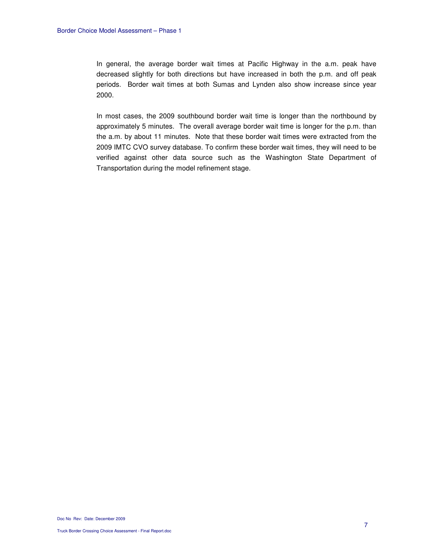In general, the average border wait times at Pacific Highway in the a.m. peak have decreased slightly for both directions but have increased in both the p.m. and off peak periods. Border wait times at both Sumas and Lynden also show increase since year 2000.

In most cases, the 2009 southbound border wait time is longer than the northbound by approximately 5 minutes. The overall average border wait time is longer for the p.m. than the a.m. by about 11 minutes. Note that these border wait times were extracted from the 2009 IMTC CVO survey database. To confirm these border wait times, they will need to be verified against other data source such as the Washington State Department of Transportation during the model refinement stage.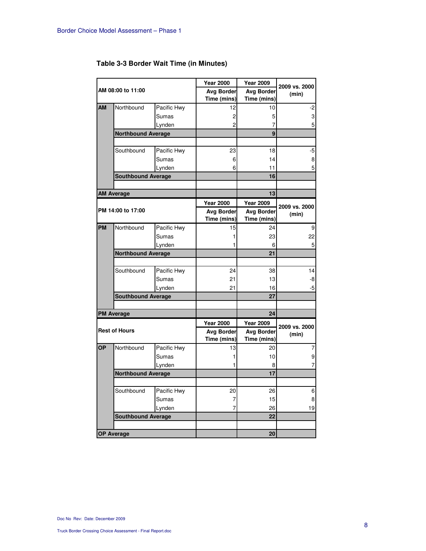|                   |                           |             | <b>Year 2000</b>  | <b>Year 2009</b>  | 2009 vs. 2000 |
|-------------------|---------------------------|-------------|-------------------|-------------------|---------------|
|                   | AM 08:00 to 11:00         |             | <b>Avg Border</b> | <b>Avg Border</b> | (min)         |
|                   |                           |             | Time (mins)       | Time (mins)       |               |
| <b>AM</b>         | Northbound                | Pacific Hwy | 12                | 10                | $-2$          |
|                   |                           | Sumas       | 2                 | 5                 | 3             |
|                   |                           | Lynden      | 2                 | 7                 | 5             |
|                   | <b>Northbound Average</b> |             |                   | 9                 |               |
|                   |                           |             |                   |                   |               |
|                   | Southbound                | Pacific Hwy | 23                | 18                | -5            |
|                   |                           | Sumas       | 6                 | 14                | 8             |
|                   |                           | Lynden      | 6                 | 11                | 5             |
|                   | <b>Southbound Average</b> |             |                   | 16                |               |
|                   |                           |             |                   |                   |               |
|                   | <b>AM Average</b>         |             |                   | 13                |               |
|                   |                           |             | <b>Year 2000</b>  | <b>Year 2009</b>  | 2009 vs. 2000 |
|                   | PM 14:00 to 17:00         |             | <b>Avg Border</b> | <b>Avg Border</b> | (min)         |
|                   |                           |             | Time (mins)       | Time (mins)       |               |
| <b>PM</b>         | Northbound                | Pacific Hwy | 15                | 24                | 9             |
|                   |                           | Sumas       | 1                 | 23                | 22            |
|                   |                           | Lynden      | 1                 | 6                 | 5             |
|                   | <b>Northbound Average</b> |             |                   | 21                |               |
|                   |                           |             |                   |                   |               |
|                   | Southbound                | Pacific Hwy | 24                | 38                | 14            |
|                   |                           | Sumas       | 21                | 13                | -8            |
|                   |                           | Lynden      | 21                | 16                | -5            |
|                   | <b>Southbound Average</b> |             |                   | 27                |               |
|                   |                           |             |                   |                   |               |
|                   | <b>PM Average</b>         |             |                   | 24                |               |
|                   |                           |             | <b>Year 2000</b>  | <b>Year 2009</b>  | 2009 vs. 2000 |
|                   | <b>Rest of Hours</b>      |             | <b>Avg Border</b> | <b>Avg Border</b> | (min)         |
|                   |                           |             | Time (mins)       | Time (mins)       |               |
| OP                | Northbound                | Pacific Hwy | 13                | 20                | 7             |
|                   |                           | Sumas       | 1                 | 10                | 9             |
|                   |                           | Lynden      | 1                 | 8                 | 7             |
|                   | <b>Northbound Average</b> |             |                   | 17                |               |
|                   |                           |             |                   |                   |               |
|                   | Southbound                | Pacific Hwy | 20                | 26                | 6             |
|                   |                           | Sumas       | 7                 | 15                | 8             |
|                   |                           | Lynden      | 7                 | 26                | 19            |
|                   | <b>Southbound Average</b> |             |                   | 22                |               |
|                   |                           |             |                   |                   |               |
| <b>OP</b> Average |                           |             |                   | 20                |               |

## **Table 3-3 Border Wait Time (in Minutes)**

Doc No Rev: Date: December 2009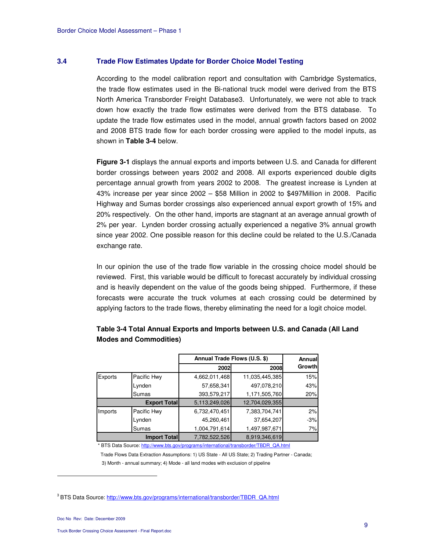#### **3.4 Trade Flow Estimates Update for Border Choice Model Testing**

According to the model calibration report and consultation with Cambridge Systematics, the trade flow estimates used in the Bi-national truck model were derived from the BTS North America Transborder Freight Database3. Unfortunately, we were not able to track down how exactly the trade flow estimates were derived from the BTS database. To update the trade flow estimates used in the model, annual growth factors based on 2002 and 2008 BTS trade flow for each border crossing were applied to the model inputs, as shown in **Table 3-4** below.

**Figure 3-1** displays the annual exports and imports between U.S. and Canada for different border crossings between years 2002 and 2008. All exports experienced double digits percentage annual growth from years 2002 to 2008. The greatest increase is Lynden at 43% increase per year since 2002 – \$58 Million in 2002 to \$497Million in 2008. Pacific Highway and Sumas border crossings also experienced annual export growth of 15% and 20% respectively. On the other hand, imports are stagnant at an average annual growth of 2% per year. Lynden border crossing actually experienced a negative 3% annual growth since year 2002. One possible reason for this decline could be related to the U.S./Canada exchange rate.

In our opinion the use of the trade flow variable in the crossing choice model should be reviewed. First, this variable would be difficult to forecast accurately by individual crossing and is heavily dependent on the value of the goods being shipped. Furthermore, if these forecasts were accurate the truck volumes at each crossing could be determined by applying factors to the trade flows, thereby eliminating the need for a logit choice model.

|         |                     | Annual Trade Flows (U.S. \$) | Annuall        |               |
|---------|---------------------|------------------------------|----------------|---------------|
|         |                     | 2002                         | 2008           | <b>Growth</b> |
| Exports | Pacific Hwy         | 4,662,011,468                | 11,035,445,385 | 15%           |
|         | Lynden              | 57,658,341                   | 497,078,210    | 43%           |
|         | Sumas               | 393,579,217                  | 1,171,505,760  | 20%           |
|         | <b>Export Total</b> | 5,113,249,026                | 12,704,029,355 |               |
| Imports | Pacific Hwy         | 6,732,470,451                | 7,383,704,741  | 2%            |
|         | Lynden              | 45,260,461                   | 37,654,207     | $-3%$         |
|         | Sumas               | 1,004,791,614                | 1,497,987,671  | 7%            |
|         | <b>Import Total</b> | 7,782,522,526                | 8,919,346,619  |               |

### **Table 3-4 Total Annual Exports and Imports between U.S. and Canada (All Land Modes and Commodities)**

 Trade Flows Data Extraction Assumptions: 1) US State - All US State; 2) Trading Partner - Canada; 3) Month - annual summary; 4) Mode - all land modes with exclusion of pipeline

BTS Data Source: http://www.bts.gov/programs/international/transborder/TBDR\_QA.html

l

<sup>&</sup>lt;sup>3</sup> BTS Data Source: http://www.bts.gov/programs/international/transborder/TBDR\_QA.html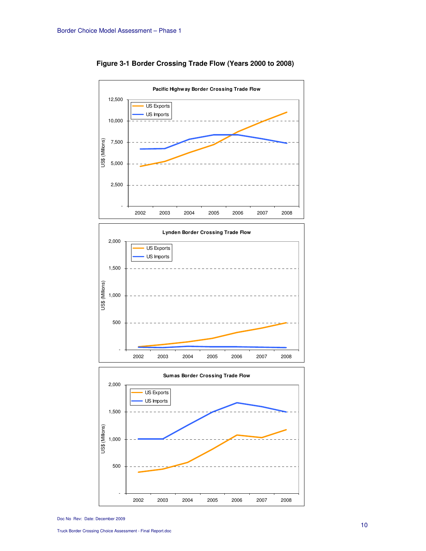

**Figure 3-1 Border Crossing Trade Flow (Years 2000 to 2008)** 



Doc No Rev: Date: December 2009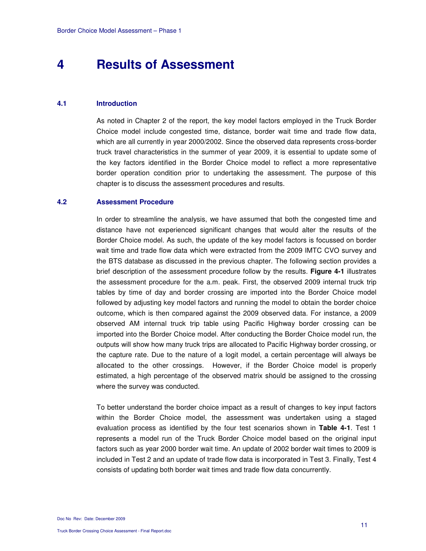## **4 Results of Assessment**

#### **4.1 Introduction**

As noted in Chapter 2 of the report, the key model factors employed in the Truck Border Choice model include congested time, distance, border wait time and trade flow data, which are all currently in year 2000/2002. Since the observed data represents cross-border truck travel characteristics in the summer of year 2009, it is essential to update some of the key factors identified in the Border Choice model to reflect a more representative border operation condition prior to undertaking the assessment. The purpose of this chapter is to discuss the assessment procedures and results.

#### **4.2 Assessment Procedure**

In order to streamline the analysis, we have assumed that both the congested time and distance have not experienced significant changes that would alter the results of the Border Choice model. As such, the update of the key model factors is focussed on border wait time and trade flow data which were extracted from the 2009 IMTC CVO survey and the BTS database as discussed in the previous chapter. The following section provides a brief description of the assessment procedure follow by the results. **Figure 4-1** illustrates the assessment procedure for the a.m. peak. First, the observed 2009 internal truck trip tables by time of day and border crossing are imported into the Border Choice model followed by adjusting key model factors and running the model to obtain the border choice outcome, which is then compared against the 2009 observed data. For instance, a 2009 observed AM internal truck trip table using Pacific Highway border crossing can be imported into the Border Choice model. After conducting the Border Choice model run, the outputs will show how many truck trips are allocated to Pacific Highway border crossing, or the capture rate. Due to the nature of a logit model, a certain percentage will always be allocated to the other crossings. However, if the Border Choice model is properly estimated, a high percentage of the observed matrix should be assigned to the crossing where the survey was conducted.

To better understand the border choice impact as a result of changes to key input factors within the Border Choice model, the assessment was undertaken using a staged evaluation process as identified by the four test scenarios shown in **Table 4-1**. Test 1 represents a model run of the Truck Border Choice model based on the original input factors such as year 2000 border wait time. An update of 2002 border wait times to 2009 is included in Test 2 and an update of trade flow data is incorporated in Test 3. Finally, Test 4 consists of updating both border wait times and trade flow data concurrently.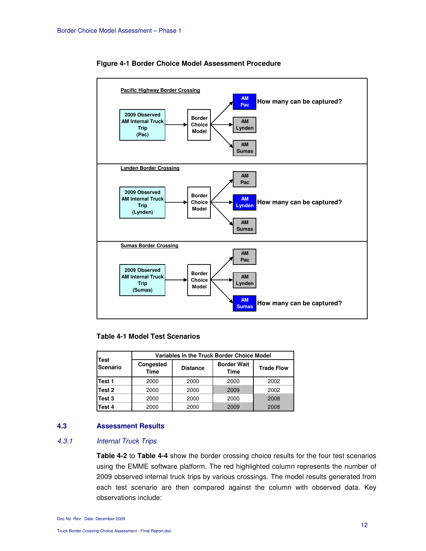

**Figure 4-1 Border Choice Model Assessment Procedure**

**Table 4-1 Model Test Scenarios** 

| <b>Test</b> | Variables in the Truck Border Choice Model |                 |                            |                   |  |  |  |  |  |
|-------------|--------------------------------------------|-----------------|----------------------------|-------------------|--|--|--|--|--|
| Scenario    | Congested<br>Time                          | <b>Distance</b> | <b>Border Wait</b><br>Time | <b>Trade Flow</b> |  |  |  |  |  |
| Test 1      | 2000                                       | 2000            | 2000                       | 2002              |  |  |  |  |  |
| Test 2      | 2000                                       | 2000            | 2009                       | 2002              |  |  |  |  |  |
| Test 3      | 2000                                       | 2000            | 2000                       | 2008              |  |  |  |  |  |
| Test 4      | 2000                                       | 2000            | 2009                       | 2008              |  |  |  |  |  |

#### **4.3 Assessment Results**

#### 4.3.1 Internal Truck Trips

**Table 4-2** to **Table 4-4** show the border crossing choice results for the four test scenarios using the EMME software platform. The red highlighted column represents the number of 2009 observed internal truck trips by various crossings. The model results generated from each test scenario are then compared against the column with observed data. Key observations include: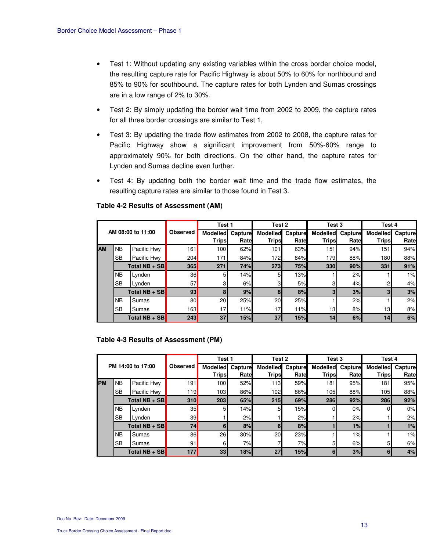- Test 1: Without updating any existing variables within the cross border choice model, the resulting capture rate for Pacific Highway is about 50% to 60% for northbound and 85% to 90% for southbound. The capture rates for both Lynden and Sumas crossings are in a low range of 2% to 30%.
- Test 2: By simply updating the border wait time from 2002 to 2009, the capture rates for all three border crossings are similar to Test 1,
- Test 3: By updating the trade flow estimates from 2002 to 2008, the capture rates for Pacific Highway show a significant improvement from 50%-60% range to approximately 90% for both directions. On the other hand, the capture rates for Lynden and Sumas decline even further.
- Test 4: By updating both the border wait time and the trade flow estimates, the resulting capture rates are similar to those found in Test 3.

|           |           |                   |                 | Test 1          |         | Test 2          |         | Test 3          |         | Test 4           |         |
|-----------|-----------|-------------------|-----------------|-----------------|---------|-----------------|---------|-----------------|---------|------------------|---------|
|           |           | AM 08:00 to 11:00 | <b>Observed</b> | <b>Modelled</b> | Capture | <b>Modelled</b> | Capture | <b>Modelled</b> | Capture | <b>Modelled</b>  | Capture |
|           |           |                   |                 | <b>Trips</b>    | Rate    | <b>Trips</b>    | Rate    | <b>Trips</b>    | Rate    | <b>Trips</b>     | Rate    |
| <b>AM</b> | <b>NB</b> | Pacific Hwy       | 161             | 100             | 62%     | 101             | 63%     | 151             | 94%     | 151 <sub>1</sub> | 94%     |
|           | <b>SB</b> | Pacific Hwy       | 204             | 171             | 84%     | 172             | 84%     | 179             | 88%     | 180              | 88%     |
|           |           | Total NB + SB     | 365             | 271             | 74%     | 273             | 75%     | 330             | 90%     | 331              | 91%     |
|           | <b>NB</b> | Lynden            | 36              | 51              | 14%     | 5               | 13%     |                 | 2%      |                  | 1%      |
|           | <b>SB</b> | Lynden            | 57              | 31              | 6%      | 3               | 5%      | з               | 4%      | 2                | 4%      |
|           |           | Total NB + SB     | 93              | 8               | 9%      | 8               | 8%      |                 | 3%      | 3 <sup>1</sup>   | 3%      |
|           | <b>NB</b> | Sumas             | 80              | 20 <sub>l</sub> | 25%     | 20              | 25%     |                 | 2%      |                  | 2%      |
|           | <b>SB</b> | Sumas             | 1631            | 17              | 11%     | 17              | 11%     | 13              | 8%      | 13               | 8%      |
|           |           | Total NB + SB     | 243             | 37              | 15%     | 37              | 15%     | 14              | 6%      | 14 <sup>1</sup>  | 6%      |

#### **Table 4-2 Results of Assessment (AM)**

#### **Table 4-3 Results of Assessment (PM)**

|           |           |                   |                 | Test 2<br>Test 1<br>Test 3 |         |                 |         | Test 4          |         |                 |         |
|-----------|-----------|-------------------|-----------------|----------------------------|---------|-----------------|---------|-----------------|---------|-----------------|---------|
|           |           | PM 14:00 to 17:00 | <b>Observed</b> | <b>Modelled</b>            | Capture | <b>Modelled</b> | Capture | <b>Modelled</b> | Capture | <b>Modelled</b> | Capture |
|           |           |                   |                 | <b>Trips</b>               | Rate    | <b>Trips</b>    | Rate    | <b>Trips</b>    | Rate    | <b>Trips</b>    | Rate    |
| <b>PM</b> | <b>NB</b> | Pacific Hwy       | 191             | 100                        | 52%     | $113$           | 59%     | 181             | 95%     | 181             | 95%     |
|           | <b>SB</b> | Pacific Hwy       | 119             | 103                        | 86%     | 102             | 86%     | 105             | 88%     | 105             | 88%     |
|           |           | Total NB + SB     | 310             | 203                        | 65%     | 215             | 69%     | 286             | 92%     | 286             | 92%     |
|           | <b>NB</b> | Lynden            | 35              | 51                         | 14%     | 5               | 15%     | $\Omega$        | 0%      |                 | 0%      |
|           | <b>SB</b> | Lynden            | 39              |                            | 2%      |                 | 2%      |                 | 2%      |                 | 2%      |
|           |           | Total NB + SB     | 74              | 6                          | 8%      | 6               | 8%      |                 | 1%      |                 | 1%      |
|           | <b>NB</b> | Sumas             | 86              | 26                         | 30%     | 20              | 23%     |                 | 1%      |                 | 1%      |
|           | <b>SB</b> | Sumas             | 91              | 6                          | 7%      |                 | 7%      | 51              | 6%      | 51              | 6%      |
|           |           | Total NB + SB     | 177             | 33 <sub>l</sub>            | 18%     | 27              | 15%     |                 | 3%      | 6 <sup>1</sup>  | 4%      |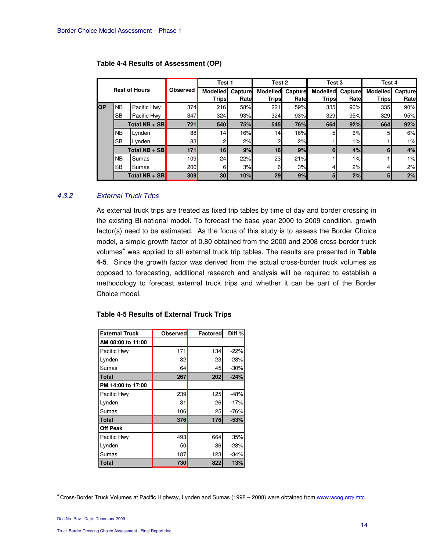|           |           |                      |                 | Test 1          |         | Test 2          |         | Test 3          |         | Test 4          |         |
|-----------|-----------|----------------------|-----------------|-----------------|---------|-----------------|---------|-----------------|---------|-----------------|---------|
|           |           | <b>Rest of Hours</b> | <b>Observed</b> | <b>Modelled</b> | Capture | <b>Modelled</b> | Capture | <b>Modelled</b> | Capture | <b>Modelled</b> | Capture |
|           |           |                      |                 | <b>Trips</b>    | Rate    | <b>Trips</b>    | Rate    | <b>Trips</b>    | Rate    | <b>Trips</b>    | Rate    |
| <b>OP</b> | <b>NB</b> | Pacific Hwy          | 374             | 216             | 58%     | 221             | 59%     | 335             | 90%     | 335             | 90%     |
|           | <b>SB</b> | Pacific Hwv          | 347             | 324             | 93%     | 324             | 93%     | 329             | 95%     | 329             | 95%     |
|           |           | Total NB + SB        | 721             | 540             | 75%     | 545             | 76%     | 664             | 92%     | 664             | 92%     |
|           | <b>NB</b> | Lynden               | 88              | 14 <sub>1</sub> | 16%     | 14 <sub>1</sub> | 16%     |                 | 6%      | 5               | 6%      |
|           | <b>SB</b> | Lynden               | 83              |                 | 2%      | 2               | 2%      |                 | 1%      |                 | 1%      |
|           |           | Total NB + SB        | 171             | 16 <sup>1</sup> | 9%      | 16              | 9%      |                 | 4%      | 6               | 4%      |
|           | <b>NB</b> | Sumas                | 109             | 24              | 22%     | 23              | 21%     |                 | 1%      |                 | 1%      |
|           | <b>SB</b> | Sumas                | <b>200</b>      | 61              | 3%      | 6               | 3%      |                 | 2%      | 4.              | 2%      |
|           |           | Total NB + SB        | 309             | 30 <sub>l</sub> | 10%     | 29              | 9%      |                 | 2%      | 51              | 2%      |

#### **Table 4-4 Results of Assessment (OP)**

### 4.3.2 External Truck Trips

As external truck trips are treated as fixed trip tables by time of day and border crossing in the existing Bi-national model. To forecast the base year 2000 to 2009 condition, growth factor(s) need to be estimated. As the focus of this study is to assess the Border Choice model, a simple growth factor of 0.80 obtained from the 2000 and 2008 cross-border truck volumes<sup>4</sup> was applied to all external truck trip tables. The results are presented in Table **4-5**. Since the growth factor was derived from the actual cross-border truck volumes as opposed to forecasting, additional research and analysis will be required to establish a methodology to forecast external truck trips and whether it can be part of the Border Choice model.

#### **Table 4-5 Results of External Truck Trips**

| <b>External Truck</b> | <b>Observed</b> | <b>Factored</b> | Diff % |
|-----------------------|-----------------|-----------------|--------|
| AM 08:00 to 11:00     |                 |                 |        |
| Pacific Hwy           | 171             | 134             | $-22%$ |
| Lynden                | 32              | 23              | $-28%$ |
| Sumas                 | 64              | 45              | $-30%$ |
| Total                 | 267             | 202             | $-24%$ |
| PM 14:00 to 17:00     |                 |                 |        |
| Pacific Hwy           | 239             | 125             | $-48%$ |
| Lynden                | 31              | 26              | $-17%$ |
| Sumas                 | 106             | 25              | $-76%$ |
| Total                 | 376             | 176             | $-53%$ |
| <b>Off Peak</b>       |                 |                 |        |
| Pacific Hwy           | 493             | 664             | 35%    |
| Lynden                | 50              | 36              | $-28%$ |
| Sumas                 | 187             | 123             | $-34%$ |
| Total                 | 730             | 822             | 13%    |

<sup>&</sup>lt;sup>4</sup> Cross-Border Truck Volumes at Pacific Highway, Lynden and Sumas (1998 - 2008) were obtained from www.wcog.org/imtc

l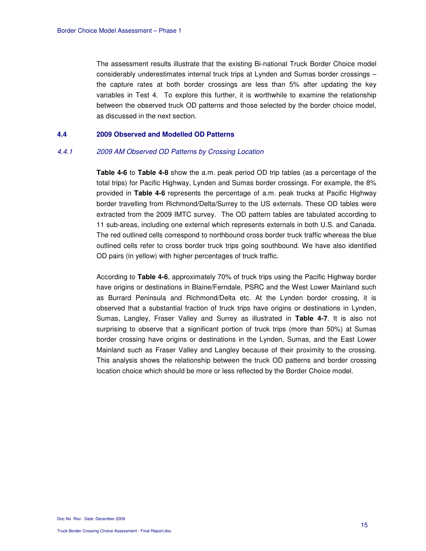The assessment results illustrate that the existing Bi-national Truck Border Choice model considerably underestimates internal truck trips at Lynden and Sumas border crossings – the capture rates at both border crossings are less than 5% after updating the key variables in Test 4. To explore this further, it is worthwhile to examine the relationship between the observed truck OD patterns and those selected by the border choice model, as discussed in the next section.

#### **4.4 2009 Observed and Modelled OD Patterns**

#### 4.4.1 2009 AM Observed OD Patterns by Crossing Location

**Table 4-6** to **Table 4-8** show the a.m. peak period OD trip tables (as a percentage of the total trips) for Pacific Highway, Lynden and Sumas border crossings. For example, the 8% provided in **Table 4-6** represents the percentage of a.m. peak trucks at Pacific Highway border travelling from Richmond/Delta/Surrey to the US externals. These OD tables were extracted from the 2009 IMTC survey. The OD pattern tables are tabulated according to 11 sub-areas, including one external which represents externals in both U.S. and Canada. The red outlined cells correspond to northbound cross border truck traffic whereas the blue outlined cells refer to cross border truck trips going southbound. We have also identified OD pairs (in yellow) with higher percentages of truck traffic.

According to **Table 4-6**, approximately 70% of truck trips using the Pacific Highway border have origins or destinations in Blaine/Ferndale, PSRC and the West Lower Mainland such as Burrard Peninsula and Richmond/Delta etc. At the Lynden border crossing, it is observed that a substantial fraction of truck trips have origins or destinations in Lynden, Sumas, Langley, Fraser Valley and Surrey as illustrated in **Table 4-7**. It is also not surprising to observe that a significant portion of truck trips (more than 50%) at Sumas border crossing have origins or destinations in the Lynden, Sumas, and the East Lower Mainland such as Fraser Valley and Langley because of their proximity to the crossing. This analysis shows the relationship between the truck OD patterns and border crossing location choice which should be more or less reflected by the Border Choice model.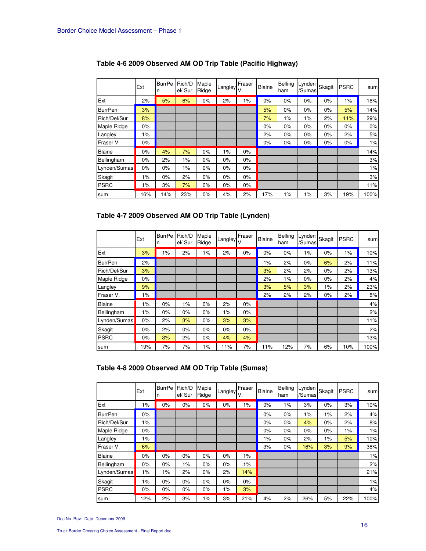|                | Ext   | <b>BurrPe</b><br>n | Rich/D<br>el/ Sur | Maple<br>Ridge | Langley | Fraser<br>V. | Blaine | Belling<br>ham | Lynden<br>/Sumas | Skagit | <b>PSRC</b> | sum  |
|----------------|-------|--------------------|-------------------|----------------|---------|--------------|--------|----------------|------------------|--------|-------------|------|
| Ext            | 2%    | 5%                 | 6%                | 0%             | 2%      | 1%           | $0\%$  | 0%             | 0%               | $0\%$  | $1\%$       | 18%  |
| <b>BurrPen</b> | 3%    |                    |                   |                |         |              | 5%     | 0%             | 0%               | 0%     | 5%          | 14%  |
| Rich/Del/Sur   | 8%    |                    |                   |                |         |              | 7%     | 1%             | 1%               | 2%     | 11%         | 29%  |
| Maple Ridge    | 0%    |                    |                   |                |         |              | $0\%$  | 0%             | 0%               | $0\%$  | $0\%$       | 0%   |
| Langley        | 1%    |                    |                   |                |         |              | 2%     | 0%             | 0%               | 0%     | 2%          | 5%   |
| Fraser V.      | 0%    |                    |                   |                |         |              | 0%     | 0%             | 0%               | 0%     | 0%          | 1%   |
| <b>Blaine</b>  | $0\%$ | 4%                 | 7%                | $0\%$          | $1\%$   | $0\%$        |        |                |                  |        |             | 14%  |
| Bellingham     | $0\%$ | 2%                 | 1%                | $0\%$          | 0%      | $0\%$        |        |                |                  |        |             | 3%   |
| Lynden/Sumas   | $0\%$ | $0\%$              | 1%                | $0\%$          | $0\%$   | $0\%$        |        |                |                  |        |             | 1%   |
| Skagit         | 1%    | 0%                 | 2%                | 0%             | 0%      | 0%           |        |                |                  |        |             | 3%   |
| <b>PSRC</b>    | 1%    | 3%                 | 7%                | 0%             | $0\%$   | $0\%$        |        |                |                  |        |             | 11%  |
| sum            | 16%   | 14%                | 23%               | $0\%$          | 4%      | 2%           | 17%    | $1\%$          | 1%               | 3%     | 19%         | 100% |

## **Table 4-6 2009 Observed AM OD Trip Table (Pacific Highway)**

## **Table 4-7 2009 Observed AM OD Trip Table (Lynden)**

|                | Ext   | <b>BurrPe</b><br>n | Rich/D<br>el/ Sur | Maple<br>Ridge | Langley | Fraser<br>V. | <b>Blaine</b> | Belling<br>ham | Lynden<br>/Sumas | Skagit | <b>PSRC</b> | sum  |
|----------------|-------|--------------------|-------------------|----------------|---------|--------------|---------------|----------------|------------------|--------|-------------|------|
| Ext            | 3%    | $1\%$              | 2%                | 1%             | 2%      | 0%           | $0\%$         | $0\%$          | $1\%$            | 0%     | 1%          | 10%  |
| <b>BurrPen</b> | 2%    |                    |                   |                |         |              | $1\%$         | 2%             | 0%               | 6%     | 2%          | 11%  |
| Rich/Del/Sur   | 3%    |                    |                   |                |         |              | 3%            | 2%             | 2%               | $0\%$  | 2%          | 13%  |
| Maple Ridge    | 0%    |                    |                   |                |         |              | 2%            | $1\%$          | $0\%$            | 0%     | 2%          | 4%   |
| Langley        | 9%    |                    |                   |                |         |              | 3%            | 5%             | 3%               | $1\%$  | 2%          | 23%  |
| Fraser V.      | 1%    |                    |                   |                |         |              | 2%            | 2%             | 2%               | $0\%$  | 2%          | 8%   |
| <b>Blaine</b>  | $1\%$ | 0%                 | 1%                | $0\%$          | 2%      | 0%           |               |                |                  |        |             | 4%   |
| Bellingham     | 1%    | 0%                 | 0%                | 0%             | 1%      | 0%           |               |                |                  |        |             | 2%   |
| Lynden/Sumas   | 0%    | 2%                 | 3%                | 0%             | 3%      | 3%           |               |                |                  |        |             | 11%  |
| Skagit         | 0%    | 2%                 | 0%                | 0%             | 0%      | 0%           |               |                |                  |        |             | 2%   |
| <b>PSRC</b>    | $0\%$ | 3%                 | 2%                | 0%             | 4%      | 4%           |               |                |                  |        |             | 13%  |
| sum            | 19%   | 7%                 | 7%                | 1%             | 11%     | 7%           | 11%           | 12%            | 7%               | 6%     | 10%         | 100% |

## **Table 4-8 2009 Observed AM OD Trip Table (Sumas)**

|                | Ext   | <b>BurrPe</b><br>n | Rich/D<br>el/ Sur | Maple<br>Ridge | Langley <sub>V.</sub> | Fraser | <b>Blaine</b> | Belling<br>ham | Lynden<br>/Sumas | Skagit | <b>PSRC</b> | sum  |
|----------------|-------|--------------------|-------------------|----------------|-----------------------|--------|---------------|----------------|------------------|--------|-------------|------|
| Ext            | $1\%$ | 0%                 | 0%                | $0\%$          | 0%                    | 1%     | 0%            | 1%             | 3%               | $0\%$  | 3%          | 10%  |
| <b>BurrPen</b> | $0\%$ |                    |                   |                |                       |        | $0\%$         | 0%             | $1\%$            | $1\%$  | 2%          | 4%   |
| Rich/Del/Sur   | 1%    |                    |                   |                |                       |        | $0\%$         | 0%             | 4%               | $0\%$  | 2%          | 8%   |
| Maple Ridge    | $0\%$ |                    |                   |                |                       |        | $0\%$         | 0%             | $0\%$            | $0\%$  | 1%          | 1%   |
| Langley        | 1%    |                    |                   |                |                       |        | 1%            | 0%             | 2%               | 1%     | 5%          | 10%  |
| Fraser V.      | 6%    |                    |                   |                |                       |        | 3%            | 0%             | 16%              | 3%     | 9%          | 38%  |
| <b>Blaine</b>  | $0\%$ | 0%                 | 0%                | 0%             | 0%                    | $1\%$  |               |                |                  |        |             | 1%   |
| Bellingham     | 0%    | $0\%$              | 1%                | 0%             | 0%                    | $1\%$  |               |                |                  |        |             | 2%   |
| Lynden/Sumas   | 1%    | 1%                 | 2%                | 0%             | 2%                    | 14%    |               |                |                  |        |             | 21%  |
| Skagit         | $1\%$ | $0\%$              | 0%                | 0%             | 0%                    | 0%     |               |                |                  |        |             | 1%   |
| <b>PSRC</b>    | 0%    | $0\%$              | 0%                | $0\%$          | 1%                    | 3%     |               |                |                  |        |             | 4%   |
| sum            | 12%   | 2%                 | 3%                | 1%             | 3%                    | 21%    | 4%            | 2%             | 26%              | 5%     | 22%         | 100% |

Doc No Rev: Date: December 2009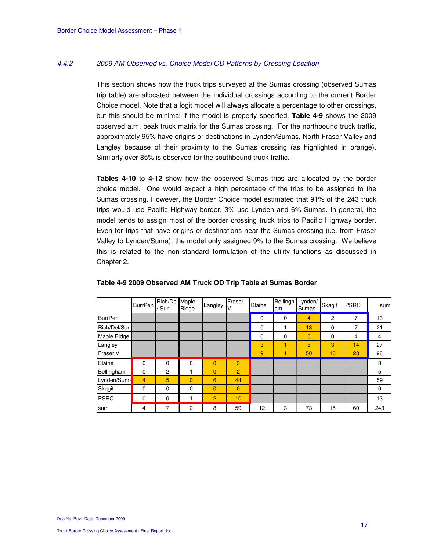#### 4.4.2 2009 AM Observed vs. Choice Model OD Patterns by Crossing Location

This section shows how the truck trips surveyed at the Sumas crossing (observed Sumas trip table) are allocated between the individual crossings according to the current Border Choice model. Note that a logit model will always allocate a percentage to other crossings, but this should be minimal if the model is properly specified. **Table 4-9** shows the 2009 observed a.m. peak truck matrix for the Sumas crossing. For the northbound truck traffic, approximately 95% have origins or destinations in Lynden/Sumas, North Fraser Valley and Langley because of their proximity to the Sumas crossing (as highlighted in orange). Similarly over 85% is observed for the southbound truck traffic.

**Tables 4-10** to **4-12** show how the observed Sumas trips are allocated by the border choice model. One would expect a high percentage of the trips to be assigned to the Sumas crossing. However, the Border Choice model estimated that 91% of the 243 truck trips would use Pacific Highway border, 3% use Lynden and 6% Sumas. In general, the model tends to assign most of the border crossing truck trips to Pacific Highway border. Even for trips that have origins or destinations near the Sumas crossing (i.e. from Fraser Valley to Lynden/Suma), the model only assigned 9% to the Sumas crossing. We believe this is related to the non-standard formulation of the utility functions as discussed in Chapter 2.

|                | <b>BurrPen</b> | Rich/Del Maple<br>Sur | Ridge | Langley        | Fraser<br>V.   | <b>Blaine</b> | Bellingh<br>am | Lynden/<br>Sumas | Skagit | <b>PSRC</b> | sum |
|----------------|----------------|-----------------------|-------|----------------|----------------|---------------|----------------|------------------|--------|-------------|-----|
| <b>BurrPen</b> |                |                       |       |                |                | $\mathbf 0$   | 0              | $\overline{4}$   | 2      | 7           | 13  |
| Rich/Del/Sur   |                |                       |       |                |                | 0             |                | 13               | 0      | 7           | 21  |
| Maple Ridge    |                |                       |       |                |                | 0             | 0              | $\overline{0}$   | 0      | 4           | 4   |
| Langley        |                |                       |       |                |                | 3             | ٠              | 6                | 3      | 14          | 27  |
| Fraser V.      |                |                       |       |                |                | 9             |                | 50               | 10     | 28          | 98  |
| <b>Blaine</b>  | 0              | 0                     | 0     | $\overline{0}$ | 3              |               |                |                  |        |             | 3   |
| Bellingham     | 0              | $\overline{2}$        |       | $\overline{0}$ | $\overline{2}$ |               |                |                  |        |             | 5   |
| Lynden/Suma    | 4              | 5                     | 0     | 6              | 44             |               |                |                  |        |             | 59  |
| Skagit         | 0              | 0                     | 0     | 0              | $\overline{0}$ |               |                |                  |        |             | 0   |
| <b>PSRC</b>    | 0              | 0                     |       | $\overline{2}$ | 10             |               |                |                  |        |             | 13  |
| sum            | 4              | 7                     | 2     | 8              | 59             | 12            | 3              | 73               | 15     | 60          | 243 |

**Table 4-9 2009 Observed AM Truck OD Trip Table at Sumas Border**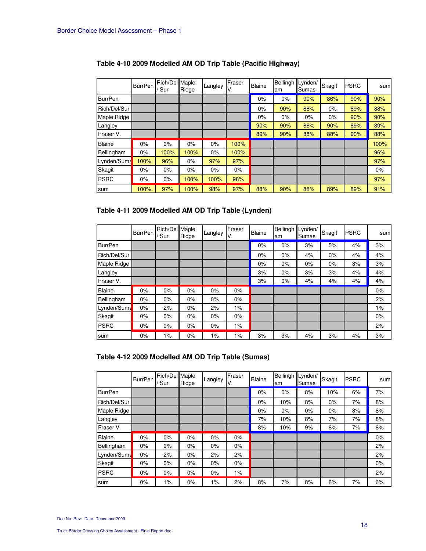|                | <b>BurrPen</b> | Rich/Del Maple<br>Sur | Ridge | Langley | Fraser<br>٦٧. | <b>Blaine</b> | Bellingh<br>am | Lynden/<br>Sumas | Skagit | <b>PSRC</b> | sum  |
|----------------|----------------|-----------------------|-------|---------|---------------|---------------|----------------|------------------|--------|-------------|------|
| <b>BurrPen</b> |                |                       |       |         |               | 0%            | 0%             | 90%              | 86%    | 90%         | 90%  |
| Rich/Del/Sur   |                |                       |       |         |               | $0\%$         | 90%            | 88%              | 0%     | 89%         | 88%  |
| Maple Ridge    |                |                       |       |         |               | $0\%$         | 0%             | $0\%$            | $0\%$  | 90%         | 90%  |
| Langley        |                |                       |       |         |               | 90%           | 90%            | 88%              | 90%    | 89%         | 89%  |
| Fraser V.      |                |                       |       |         |               | 89%           | 90%            | 88%              | 88%    | 90%         | 88%  |
| <b>Blaine</b>  | 0%             | $0\%$                 | 0%    | $0\%$   | $100\%$       |               |                |                  |        |             | 100% |
| Bellingham     | $0\%$          | 100%                  | 100%  | $0\%$   | 100%          |               |                |                  |        |             | 96%  |
| Lynden/Suma    | 100%           | 96%                   | 0%    | 97%     | 97%           |               |                |                  |        |             | 97%  |
| Skagit         | $0\%$          | 0%                    | 0%    | 0%      | 0%            |               |                |                  |        |             | 0%   |
| <b>PSRC</b>    | $0\%$          | $0\%$                 | 100%  | 100%    | 98%           |               |                |                  |        |             | 97%  |
| sum            | 100%           | 97%                   | 100%  | 98%     | 97%           | 88%           | 90%            | 88%              | 89%    | 89%         | 91%  |

## **Table 4-10 2009 Modelled AM OD Trip Table (Pacific Highway)**

### **Table 4-11 2009 Modelled AM OD Trip Table (Lynden)**

|                | <b>BurrPen</b> | Rich/Del Maple<br>Sur | Ridge | Langley | Fraser<br>V. | Blaine | Bellingh<br>am | Lynden/<br>Sumas | Skagit | <b>PSRC</b> | sum   |
|----------------|----------------|-----------------------|-------|---------|--------------|--------|----------------|------------------|--------|-------------|-------|
| <b>BurrPen</b> |                |                       |       |         |              | 0%     | 0%             | 3%               | 5%     | 4%          | 3%    |
| Rich/Del/Sur   |                |                       |       |         |              | 0%     | 0%             | 4%               | 0%     | 4%          | 4%    |
| Maple Ridge    |                |                       |       |         |              | 0%     | 0%             | 0%               | 0%     | 3%          | 3%    |
| Langley        |                |                       |       |         |              | 3%     | $0\%$          | 3%               | 3%     | 4%          | 4%    |
| Fraser V.      |                |                       |       |         |              | 3%     | $0\%$          | 4%               | 4%     | 4%          | 4%    |
| <b>Blaine</b>  | $0\%$          | 0%                    | 0%    | 0%      | 0%           |        |                |                  |        |             | 0%    |
| Bellingham     | $0\%$          | $0\%$                 | 0%    | 0%      | 0%           |        |                |                  |        |             | 2%    |
| Lynden/Suma    | $0\%$          | 2%                    | 0%    | 2%      | 1%           |        |                |                  |        |             | 1%    |
| Skagit         | $0\%$          | $0\%$                 | 0%    | $0\%$   | $0\%$        |        |                |                  |        |             | $0\%$ |
| <b>PSRC</b>    | $0\%$          | $0\%$                 | 0%    | $0\%$   | 1%           |        |                |                  |        |             | 2%    |
| sum            | $0\%$          | $1\%$                 | 0%    | $1\%$   | $1\%$        | 3%     | 3%             | 4%               | 3%     | 4%          | 3%    |

#### **Table 4-12 2009 Modelled AM OD Trip Table (Sumas)**

|                | BurrPen | Rich/Del<br>Sur | <b>Maple</b><br>Ridge | Langley | Fraser<br>V. | Blaine | Bellingh<br>am | Lynden/<br>Sumas | Skagit | <b>PSRC</b> | sum |
|----------------|---------|-----------------|-----------------------|---------|--------------|--------|----------------|------------------|--------|-------------|-----|
| <b>BurrPen</b> |         |                 |                       |         |              | 0%     | 0%             | 8%               | 10%    | 6%          | 7%  |
| Rich/Del/Sur   |         |                 |                       |         |              | 0%     | 10%            | 8%               | 0%     | 7%          | 8%  |
| Maple Ridge    |         |                 |                       |         |              | 0%     | 0%             | 0%               | 0%     | 8%          | 8%  |
| Langley        |         |                 |                       |         |              | 7%     | 10%            | 8%               | 7%     | 7%          | 8%  |
| Fraser V.      |         |                 |                       |         |              | 8%     | 10%            | 9%               | 8%     | 7%          | 8%  |
| <b>Blaine</b>  | 0%      | $0\%$           | 0%                    | 0%      | 0%           |        |                |                  |        |             | 0%  |
| Bellingham     | 0%      | $0\%$           | 0%                    | 0%      | 0%           |        |                |                  |        |             | 2%  |
| Lynden/Suma    | 0%      | 2%              | 0%                    | 2%      | 2%           |        |                |                  |        |             | 2%  |
| Skagit         | 0%      | 0%              | 0%                    | $0\%$   | 0%           |        |                |                  |        |             | 0%  |
| <b>PSRC</b>    | 0%      | 0%              | $0\%$                 | $0\%$   | 1%           |        |                |                  |        |             | 2%  |
| sum            | 0%      | 1%              | 0%                    | $1\%$   | 2%           | 8%     | 7%             | 8%               | 8%     | 7%          | 6%  |

Doc No Rev: Date: December 2009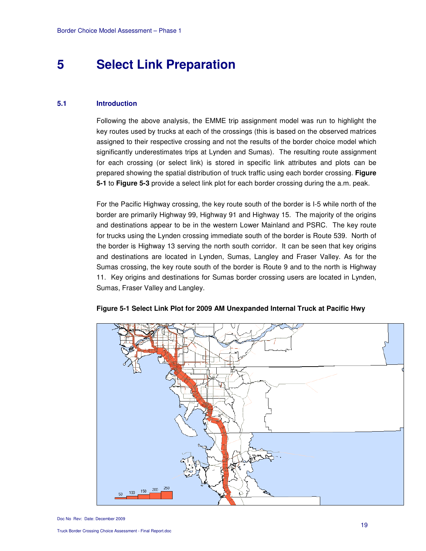# **5 Select Link Preparation**

#### **5.1 Introduction**

Following the above analysis, the EMME trip assignment model was run to highlight the key routes used by trucks at each of the crossings (this is based on the observed matrices assigned to their respective crossing and not the results of the border choice model which significantly underestimates trips at Lynden and Sumas). The resulting route assignment for each crossing (or select link) is stored in specific link attributes and plots can be prepared showing the spatial distribution of truck traffic using each border crossing. **Figure 5-1** to **Figure 5-3** provide a select link plot for each border crossing during the a.m. peak.

For the Pacific Highway crossing, the key route south of the border is I-5 while north of the border are primarily Highway 99, Highway 91 and Highway 15. The majority of the origins and destinations appear to be in the western Lower Mainland and PSRC. The key route for trucks using the Lynden crossing immediate south of the border is Route 539. North of the border is Highway 13 serving the north south corridor. It can be seen that key origins and destinations are located in Lynden, Sumas, Langley and Fraser Valley. As for the Sumas crossing, the key route south of the border is Route 9 and to the north is Highway 11. Key origins and destinations for Sumas border crossing users are located in Lynden, Sumas, Fraser Valley and Langley.



**Figure 5-1 Select Link Plot for 2009 AM Unexpanded Internal Truck at Pacific Hwy** 

Doc No Rev: Date: December 2009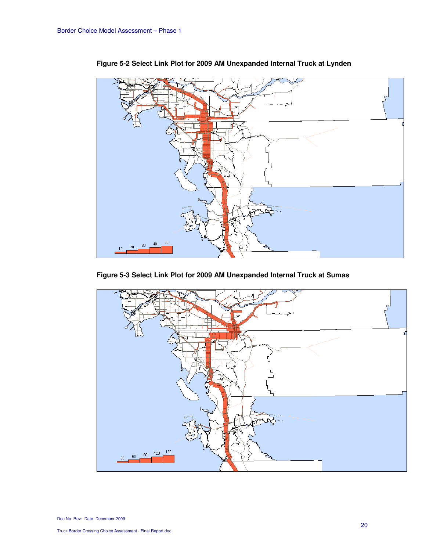

**Figure 5-2 Select Link Plot for 2009 AM Unexpanded Internal Truck at Lynden** 

**Figure 5-3 Select Link Plot for 2009 AM Unexpanded Internal Truck at Sumas** 

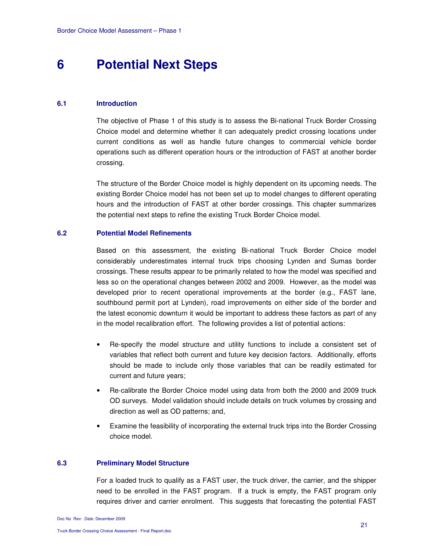## **6 Potential Next Steps**

#### **6.1 Introduction**

The objective of Phase 1 of this study is to assess the Bi-national Truck Border Crossing Choice model and determine whether it can adequately predict crossing locations under current conditions as well as handle future changes to commercial vehicle border operations such as different operation hours or the introduction of FAST at another border crossing.

The structure of the Border Choice model is highly dependent on its upcoming needs. The existing Border Choice model has not been set up to model changes to different operating hours and the introduction of FAST at other border crossings. This chapter summarizes the potential next steps to refine the existing Truck Border Choice model.

#### **6.2 Potential Model Refinements**

Based on this assessment, the existing Bi-national Truck Border Choice model considerably underestimates internal truck trips choosing Lynden and Sumas border crossings. These results appear to be primarily related to how the model was specified and less so on the operational changes between 2002 and 2009. However, as the model was developed prior to recent operational improvements at the border (e.g., FAST lane, southbound permit port at Lynden), road improvements on either side of the border and the latest economic downturn it would be important to address these factors as part of any in the model recalibration effort. The following provides a list of potential actions:

- Re-specify the model structure and utility functions to include a consistent set of variables that reflect both current and future key decision factors. Additionally, efforts should be made to include only those variables that can be readily estimated for current and future years;
- Re-calibrate the Border Choice model using data from both the 2000 and 2009 truck OD surveys. Model validation should include details on truck volumes by crossing and direction as well as OD patterns; and,
- Examine the feasibility of incorporating the external truck trips into the Border Crossing choice model.

#### **6.3 Preliminary Model Structure**

For a loaded truck to qualify as a FAST user, the truck driver, the carrier, and the shipper need to be enrolled in the FAST program. If a truck is empty, the FAST program only requires driver and carrier enrolment. This suggests that forecasting the potential FAST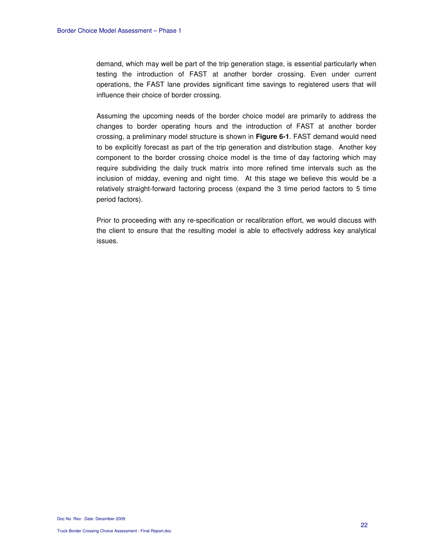demand, which may well be part of the trip generation stage, is essential particularly when testing the introduction of FAST at another border crossing. Even under current operations, the FAST lane provides significant time savings to registered users that will influence their choice of border crossing.

Assuming the upcoming needs of the border choice model are primarily to address the changes to border operating hours and the introduction of FAST at another border crossing, a preliminary model structure is shown in **Figure 6-1**. FAST demand would need to be explicitly forecast as part of the trip generation and distribution stage. Another key component to the border crossing choice model is the time of day factoring which may require subdividing the daily truck matrix into more refined time intervals such as the inclusion of midday, evening and night time. At this stage we believe this would be a relatively straight-forward factoring process (expand the 3 time period factors to 5 time period factors).

Prior to proceeding with any re-specification or recalibration effort, we would discuss with the client to ensure that the resulting model is able to effectively address key analytical issues.